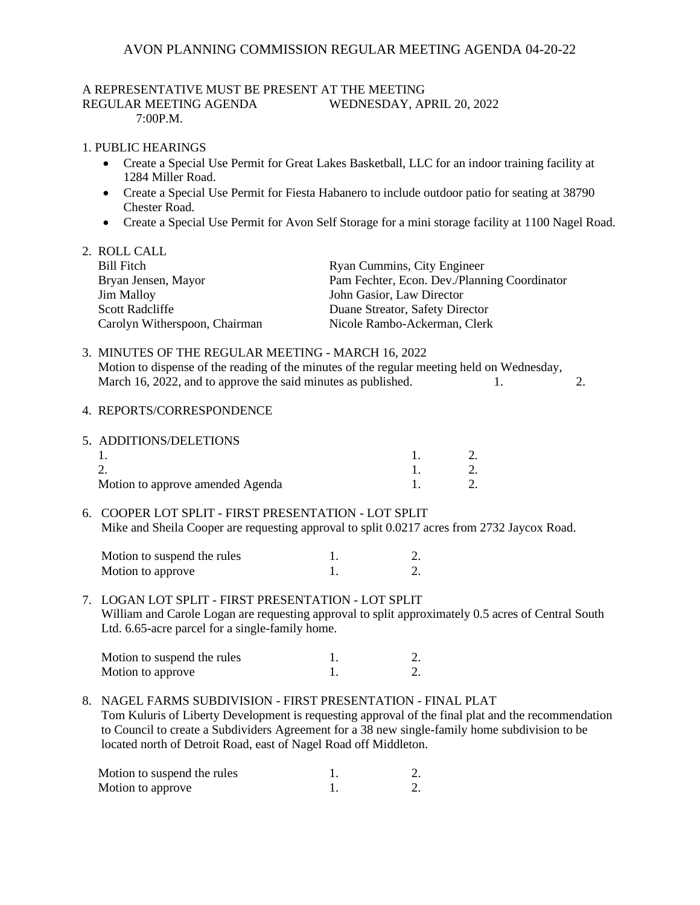# AVON PLANNING COMMISSION REGULAR MEETING AGENDA 04-20-22

### A REPRESENTATIVE MUST BE PRESENT AT THE MEETING REGULAR MEETING AGENDA WEDNESDAY, APRIL 20, 2022  $7:00P$  M

### 1. PUBLIC HEARINGS

- Create a Special Use Permit for Great Lakes Basketball, LLC for an indoor training facility at 1284 Miller Road.
- Create a Special Use Permit for Fiesta Habanero to include outdoor patio for seating at 38790 Chester Road.
- Create a Special Use Permit for Avon Self Storage for a mini storage facility at 1100 Nagel Road.

| Pam Fechter, Econ. Dev./Planning Coordinator |
|----------------------------------------------|
|                                              |
|                                              |
|                                              |
|                                              |

3. MINUTES OF THE REGULAR MEETING - MARCH 16, 2022 Motion to dispense of the reading of the minutes of the regular meeting held on Wednesday, March 16, 2022, and to approve the said minutes as published. 1. 2.

#### 4. REPORTS/CORRESPONDENCE

| 5. ADDITIONS/DELETIONS           |  |
|----------------------------------|--|
|                                  |  |
|                                  |  |
| Motion to approve amended Agenda |  |

6. COOPER LOT SPLIT - FIRST PRESENTATION - LOT SPLIT Mike and Sheila Cooper are requesting approval to split 0.0217 acres from 2732 Jaycox Road.

| Motion to suspend the rules |  |
|-----------------------------|--|
| Motion to approve           |  |

# 7. LOGAN LOT SPLIT - FIRST PRESENTATION - LOT SPLIT William and Carole Logan are requesting approval to split approximately 0.5 acres of Central South Ltd. 6.65-acre parcel for a single-family home.

| Motion to suspend the rules |  |
|-----------------------------|--|
| Motion to approve           |  |

## 8. NAGEL FARMS SUBDIVISION - FIRST PRESENTATION - FINAL PLAT Tom Kuluris of Liberty Development is requesting approval of the final plat and the recommendation to Council to create a Subdividers Agreement for a 38 new single-family home subdivision to be located north of Detroit Road, east of Nagel Road off Middleton.

| Motion to suspend the rules |  |
|-----------------------------|--|
| Motion to approve           |  |